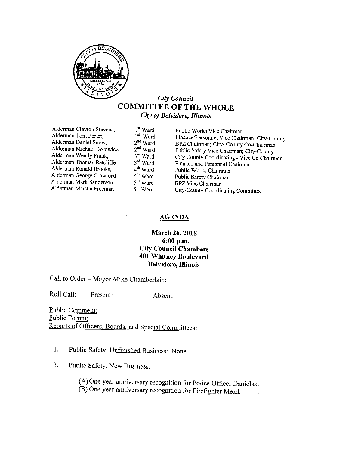

#### City Council COMMITTEE OF THE WHOLE City of Belvidere, Illinois

Alderman Clayton Stevens, 1<sup>st</sup> Ward Public Works Vice Chairman Alderman Tom Porter, 1<sup>st</sup> Ward Finance/Personnel Vice Chair  $2^{nd}$  Ward Alderman Wendy Frank, 3<sup>rd</sup> Ward<br>Alderman Thomas Ratcliffe 3<sup>rd</sup> Ward Alderman Ronald Brooks. Alderman George Crawford  $4^{\text{th}}$  Ward Public Safety Chairman Alderman Mark Sanderson,  $5^{\text{th}}$  Ward BPZ Vice Chairman Alderman Mark Sanderson, 5<sup>th</sup> Ward<br>Alderman Marsha Freeman 5<sup>th</sup> Ward

Alderman Tom Porter,  $1^{st}$  Ward Finance/ Personnel Vice Chairman; City-County Alderman Daniel Snow,  $2^{nd}$  Ward BPZ Chairman; City- County Co-Chairman Alderman Michael Borowicz,  $2^{nd}$  Ward Public Safety Vice Chairman: C BPZ Chairman; City- County Co-Chairman  $2<sup>nd</sup> Ward$  Public Safety Vice Chairman; City-County 3<sup>rd</sup> Ward City County Coordinating - Vice Co Chairm City County Coordinating - Vice Co Chairman  $3<sup>rd</sup> Ward$  Finance and Personnel Chairman  $4<sup>th</sup> Ward$  Public Works Chairman <sup>4th</sup> Ward Public Works Chairman<br><sup>4th</sup> Ward Public Safety Chairman City-County Coordinating Committee

#### AGENDA

#### March 26, 2018 6: 00 p. m. City Council Chambers 401 Whitney Boulevard Belvidere, Illinois

Call to Order— Mayor Mike Chamberlain:

Roll Call: Present: Absent:

Public Comment: Public Forum: Reports of Officers, Boards, and Special Committees:

- 1. Public Safety, Unfinished Business: None.
- 2. Public Safety, New Business:

A) One year anniversary recognition for Police Officer Danielak. B) One year anniversary recognition for Firefighter Mead.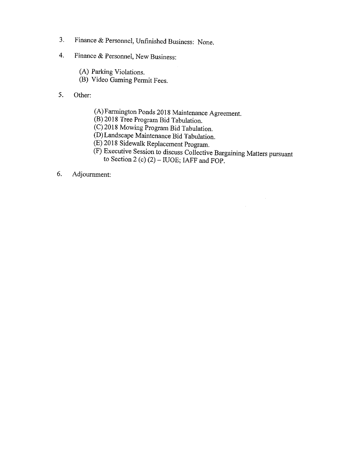- 3. Finance & Personnel, Unfinished Business: None.
- 4. Finance & Personnel, New Business:
	- A) Parking Violations.
	- B) Video Gaming Permit Fees.
- 5. Other:
	- A) Farmington Ponds 2018 Maintenance Agreement.
	- B) 2018 Tree Program Bid Tabulation.
	- C) 2018 Mowing Program Bid Tabulation.
	- D) Landscape Maintenance Bid Tabulation.
	- E) 2018 Sidewalk Replacement Program.
	- F) Executive Session to discuss Collective Bargaining Matters pursuant to Section 2 (c)  $(2)$  – IUOE; IAFF and FOP.
- 6. Adjournment: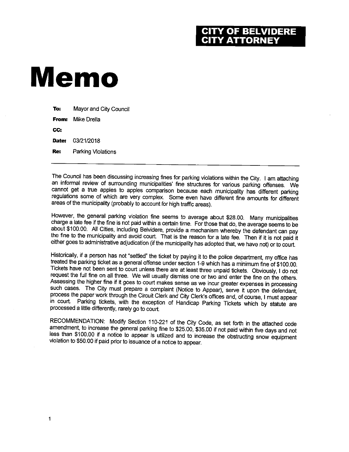### CITY OF BELVIDERE<br>CITY ATTORNEY

## Memo

| To:   | Mayor and City Council |
|-------|------------------------|
| From: | Mike Drella            |
| CC.   |                        |
| Date: | 03/21/2018             |
| Re:   | Parking Violations     |
|       |                        |

The Council has been discussing increasing fines for parking violations within the City. I am attaching an informal review of surrounding municipalities' fine structures for various parking offenses. We cannot get a true apples to apples comparison because each municipality has different parking regulations some of which are very complex. Some even have different fine amounts for different areas of the municipality( probably to account for high traffic areas).

However, the general parking violation fine seems to average about \$28.00. Many municipalities charge a late fee if the fine is not paid within a certain time. For those that do, the average seems to be about \$100.00. All Cities, including Belvidere, provide a mechanism whereby the defendant can pay the fine to the municipality and avoid court. That is the reason for a late fee. Then if it is not paid it either goes to administrative adjudication (if the municipality has adopted that, we have not) or to court.

Historically, if a person has not "settled" the ticket by paying it to the police department, my office has treated the parking ticket as a general offense under section 1-9 which has a minimum fine of \$100.00.<br>Tickets have not been sent to court unless there are at least three unpaid tickets. Obviously, I do not The notion of the full find on all three sent to court unless three unpaid tickets. Obviously, I do not request the full fine on all three. We will usually dismiss one or two and enter the fine on the others.  $\frac{A}{\sqrt{2}}$  is the higher fine if  $\frac{A}{\sqrt{2}}$  is court makes sense as we incur greater expenses in processing such cases. The City must prepare a complaint ( Notice to Appear), serve it upon the defendant, process the paper work through the Circuit Clerk and City Clerk's offices and, of course, I must appear in court. Parking tickets, with the exception of Handicap Parking Tickets which by statute are processed a little differently, rarely go to court.

RECOMMENDATION: Modify Section 110-221 of the City Code, as set forth in the attached code amendment, to increase the general parking fine to \$25.00, \$35.00 if not paid within five days and not less than \$100.00 if a notice to appear is utilized and to increase the obstructing snow equipment violation to \$50.00 if paid prior to issuance of a notice to appear.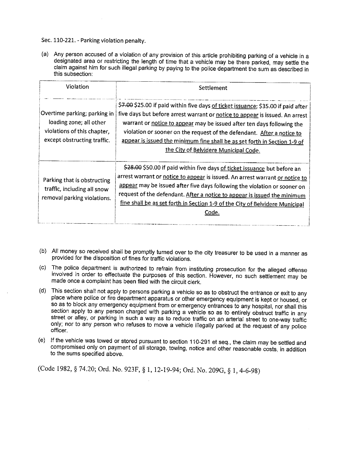Sec. 110-221. - Parking violation penalty.

a) Any person accused of a violation of any provision of this article prohibiting parking of a vehicle in a designated area or restricting the length of time that a vehicle may be there parked, may settle the claim against him for such illegal parking by paying to the police department the sum as described in this subsection:

| Violation                                                                                                             | Settlement                                                                                                                                                                                                                                                                                                                                                                                                                                  |
|-----------------------------------------------------------------------------------------------------------------------|---------------------------------------------------------------------------------------------------------------------------------------------------------------------------------------------------------------------------------------------------------------------------------------------------------------------------------------------------------------------------------------------------------------------------------------------|
| Overtime parking; parking in<br>loading zone; all other<br>violations of this chapter,<br>except obstructing traffic. | \$7.00 \$25.00 if paid within five days of ticket issuance; \$35.00 if paid after<br>five days but before arrest warrant or notice to appear is issued. An arrest<br>warrant or notice to appear may be issued after ten days following the<br>violation or sooner on the request of the defendant. After a notice to<br>appear is issued the minimum fine shall be as set forth in Section 1-9 of<br>the City of Belvidere Municipal Code. |
| Parking that is obstructing<br>traffic, including all snow<br>removal parking violations.                             | \$28.00 \$50.00 if paid within five days of ticket issuance but before an<br>arrest warrant or notice to appear is issued. An arrest warrant or notice to<br>appear may be issued after five days following the violation or sooner on<br>request of the defendant. After a notice to appear is issued the minimum<br>fine shall be as set forth in Section 1-9 of the City of Belvidere Municipal<br>Code.                                 |

- b) All money so received shall be promptly turned over to the city treasurer to be used in a manner as provided for the disposition of fines for traffic violations.
- c) The police department is authorized to refrain from instituting prosecution for the alleged offense involved in order to effectuate the purposes of this section. However, no such settlement may be made once a complaint has been filed with the circuit clerk.
- d) This section shall not apply to persons parking a vehicle so as to obstruct the entrance or exit to any place where police or fire department apparatus or other emergency equipment is kept or housed, or so as to block any emergency equipment from or emergency entrances to any hospital, nor shall this section apply to any person charged with parking a vehicle so as to entirely obstruct traffic in any street or alley, or parking in such a way as to reduce traffic on an arterial street to one-way traffic  $\frac{\text{SUSY}}{\text{SUSY}}$ , or parking in such a way as to reduce trainc on an arterial street to one-way traffic only; nor to any person who refuses to move a vehicle illegally parked at the request of any police officer.
- e) If the vehicle was towed or stored pursuant to section 110-291 et seq., the claim may be settled and compromised only on payment of all storage, towing, notice and other reasonable costs, in addition to the. sums specified above.

(Code 1982, § 74.20; Ord. No. 923F, § 1, 12-19-94; Ord. No. 209G, § 1, 4-6-98)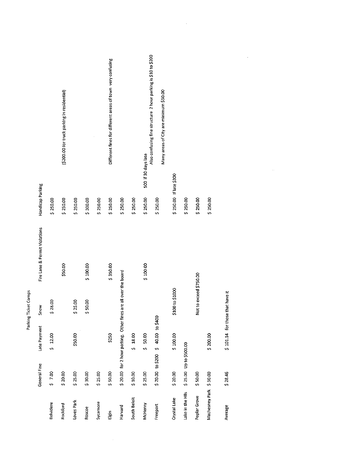|                        |                        |                                   | Parking Ticket Comps                                           |                               |                        |                                                                                                         |
|------------------------|------------------------|-----------------------------------|----------------------------------------------------------------|-------------------------------|------------------------|---------------------------------------------------------------------------------------------------------|
|                        | General Fine           | Late Payment                      | Snow                                                           | Fire Lane & Permit Violations | Handicap Parking       |                                                                                                         |
| <b>Belvidere</b>       | \$7.00                 | \$12.00                           | \$28.00                                                        |                               | \$250.00               |                                                                                                         |
| Rockford               | 520.00                 |                                   |                                                                | \$50.00                       | \$250.00               | (\$200.00 for truck parking in residential)                                                             |
| Loves Park             | \$25.00                | \$50.00                           | \$25.00                                                        |                               | \$250.00               |                                                                                                         |
| Roscoe                 | \$30.00                |                                   | \$50.00                                                        | \$100.00                      | \$300.00               |                                                                                                         |
| Sycamore               | \$25.00                |                                   |                                                                |                               | \$250.00               |                                                                                                         |
| Eigin                  | \$50.00                | \$250                             |                                                                | \$350.00                      | \$250.00               | Different fines for different areas of town very confusing                                              |
| Harvard                |                        |                                   | \$20.00 for 2 hour parking. Other fines are all over the board |                               | \$250.00               |                                                                                                         |
| South Beloit           | \$10.00                | \$18.00                           |                                                                |                               | \$250.00               |                                                                                                         |
| McHenry                | \$25.00                | 50.00                             |                                                                | \$100.00                      | \$250.00               | 500 if 30 days late                                                                                     |
| Freeport               |                        | \$20.00 to \$200 \$40.00 to \$400 |                                                                |                               | \$250.00               | Also confusing fine structure 2 hour parking is \$10 to \$200<br>Many areas of City are minimum \$50.00 |
| Crystal Lake           | \$20.00                | \$100.00                          | \$100 to \$1000                                                |                               | \$250.00 If late \$300 |                                                                                                         |
| Lake in the HIIs       | \$25.00 Up to \$500.00 |                                   |                                                                |                               | \$250.00               |                                                                                                         |
| Poplar Grove           | \$50.00                |                                   | Not to exceed \$750.00                                         |                               | \$250.00               |                                                                                                         |
| Machesney Park \$50.00 |                        | \$ 200.00                         |                                                                |                               | \$250.00               |                                                                                                         |
| Average                | \$28.46                | \$101.14 for those that have it   |                                                                |                               |                        |                                                                                                         |

 $\frac{1}{2} \frac{1}{2} \frac{1}{2}$ 

 $\frac{1}{2}$ 

 $\hat{\mathcal{A}}$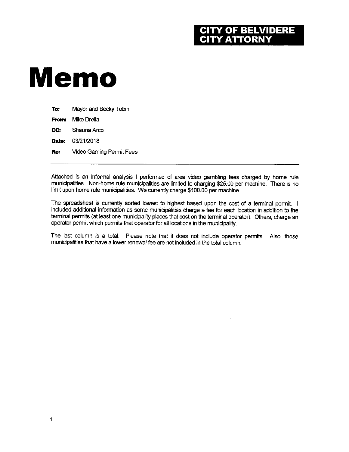#### **OF BELVIDERE Y ATTORNY**

# Memo

| To:   | Mayor and Becky Tobin           |
|-------|---------------------------------|
| From: | Mike Drella                     |
| CC:   | Shauna Arco                     |
| Date: | 03/21/2018                      |
| Re:   | <b>Video Gaming Permit Fees</b> |
|       |                                 |

Attached is an informal analysis <sup>I</sup> performed of area video gambling fees charged by home rule municipalities. Non-home rule municipalities are limited to charging \$25.00 per machine. There is no limit upon home rule municipalities. We currently charge \$100.00 per machine.

The spreadsheet is currently sorted lowest to highest based upon the cost of a terminal permit. I included additional information as some municipalities charge a fee for each location in addition to the terminal permits (at least one municipality places that cost on the terminal operator). Others, charge an operator permit which permits that operator for all locations in the municipality.

The last column is a total. Please note that it does not include operator permits. Also, those municipalities that have a lower renewal fee are not included in the total column.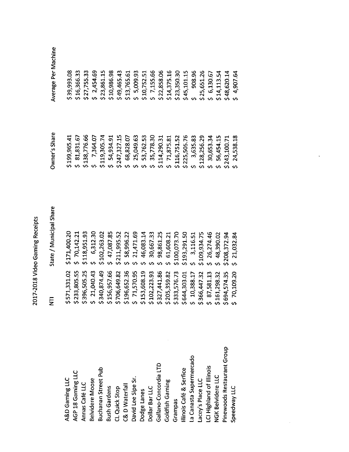|                            | Ę               | State / Municipal Share | Owner's Share      | Average Per Mac |
|----------------------------|-----------------|-------------------------|--------------------|-----------------|
| A&D Gaming LLC             | \$571,331.02    | \$171,400.20            | \$199,965.41       | \$39,993.08     |
| AGP 18 Gaming LLC          | \$233,805.55    | \$70,142.21             | \$81,831.67        | \$16,366.33     |
| Annas Café LLC             | \$396,505.25    | \$118,951.93            | \$138,776.66       | \$27,755.33     |
| <b>Belvidere Moose</b>     | \$21,040.43     | 6,312.30                | $5 \quad 7,364.07$ | 52,454.69       |
| <b>Buchanan Street Pub</b> | \$340,874.49    | \$102,263.02            | \$119,305.74       | \$23,861.15     |
| <b>Bush Gardens</b>        | \$156,957.66    | 47,087.85               | 54,934.91          | \$10,986.98     |
| CL Quick Stop              | \$706,649.82    | \$211,995.52            | \$247,327.15       | \$49,465.43     |
| C& D Waterfall             | \$196,652.36    | 58,996.22               | \$68,828.07        | \$13,765.61     |
| David Lee Sipe Sr.         | \$71,570.95     | 21,471.69               | 25,049.63          | 5,009.93        |
| Dodge Lanes                | \$153,608.19    | 46,083.14               | 53,762.53          | \$10,752.51     |
| Dollar Bar LLC             | \$102,223.93    | 30,667.33               | 35,778.30          | \$7,155.66      |
| Gallano-Concordia LTD      | \$327,441.86    | 98,861.25               | \$114,290.31       | \$22,858.06     |
| Goldfish Gaming            | \$205,359.82    | 61,608.21               | \$71,875.81        | \$14,375.16     |
| Grampas                    | \$333,576.73    | \$100,073.70            | \$116,751.52       | \$23,350.30     |
| llinois Café & Serfice     | \$644,303.01    | \$193,291.50            | \$225,505.76       | \$45,101.15     |
| La Canasta Supermercado    | $5 \t10,388.17$ | 3,116.51                | 3,635.83           | 908.96          |
| Lacey's Place LLC          | \$366,447.32    | \$109,934.75            | \$128,256.29       | \$25,651.26     |
| LCI Highland of Illinois   | 587,581.13      | 26,274.46               | 530,653.34         | \$6,130.67      |
| NGK Belvidere LLC          | \$161,298.32    | 48,390.02               | 56,454.15          | \$14,113.54     |
| Pinewoods Restaurant Group | \$694,574.35    | \$208,372.94            | \$243,100.71       | \$48,620.14     |
| Speedway LLC               | \$70,109.20     | 21,032.84               | \$24,538.18        | 54,907.64       |
|                            |                 |                         |                    |                 |

 $\hat{\mathcal{E}}$ 

 $\bar{\mathcal{A}}$ 

thine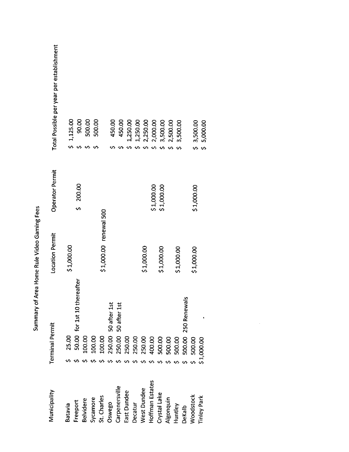|                  | <b>Terminal Permit</b>      | <b>Location Permit</b> | Operator Permit  | Total Possible per year per establishment |
|------------------|-----------------------------|------------------------|------------------|-------------------------------------------|
| Batavia          | 25.00                       | \$1,000.00             |                  | 1,125.00                                  |
| Freeport         | 50.00 for 1st 10 thereafter |                        | 200.00<br>s<br>S | 90.00                                     |
| <b>Belvidere</b> | 100.00                      |                        |                  | 500.00                                    |
| Sycamore         | 100.00                      |                        |                  | 500.00                                    |
| St. Charles      | 100.00                      | \$1,000.00 renewal 500 |                  |                                           |
| Oswego           | 250.00 50 after 1st         |                        |                  | 450.00                                    |
| Carpenersville   | 250.00 50 after 1st         |                        |                  | 450.00                                    |
| East Dundee      | 250.00                      |                        |                  | 1,250.00                                  |
| Decatur          | 250.00                      |                        |                  | 1,250.00                                  |
| West Dundee      | 250.00                      | \$1,000.00             |                  | 2,250.00                                  |
| Hoffman Estates  | 400.00                      |                        | \$1,000.00       | 2,000.00<br>$\mathbf{v}$                  |
| Crystal Lake     | 500.00                      | \$1,000.00             | \$1,000.00       | 3,500.00<br>Š,                            |
| Algonquin        | 500.00                      |                        |                  | 2,500.00<br>Š,                            |
| Huntley          | 500.00                      | \$1,000.00             |                  | 3,500.00                                  |
| DeKalb           | 500.00 250 Renewals         |                        |                  |                                           |
| Woodstock        | 500.00                      | \$1,000.00             | \$1,000.00       | \$3,500.00                                |
| Tinley Park      | \$1,000.00                  |                        |                  | 5,000.00                                  |

 $\frac{1}{2}$ 

Summary of Area Home Rule Video Gaming Fees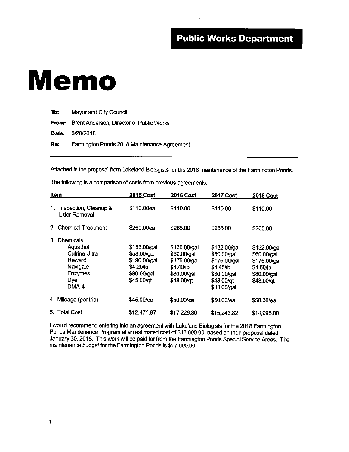### Memo

**To:** Mayor and City Council

From: Brent Anderson, Director of Public Works

Date: 3/20/2018

Re: Farmington Ponds 2018 Maintenance Agreement

Attached is the proposal from Lakeland Biologists for the 2018 maintenance of the Farmington Ponds.

The following is a comparison of costs from previous agreements:

|    | Item                                                                                               | <b>2015 Cost</b>                                                                      | <b>2016 Cost</b>                                                                      | <b>2017 Cost</b>                                                                                     | <b>2018 Cost</b>                                                                      |
|----|----------------------------------------------------------------------------------------------------|---------------------------------------------------------------------------------------|---------------------------------------------------------------------------------------|------------------------------------------------------------------------------------------------------|---------------------------------------------------------------------------------------|
| 1. | Inspection, Cleanup &<br>Litter Removal                                                            | \$110,00ea                                                                            | \$110.00                                                                              | \$110.00                                                                                             | \$110.00                                                                              |
|    | 2. Chemical Treatment                                                                              | \$260,00ea                                                                            | \$265.00                                                                              | \$265.00                                                                                             | \$265.00                                                                              |
|    | 3. Chemicals<br>Aquathol<br>Cutrine Ultra<br>Reward<br>Navigate<br><b>Enzymes</b><br>Dye.<br>DMA-4 | \$153.00/gal<br>\$58.00/gal<br>\$190.00/gal<br>\$4.20/lb<br>\$80.00/gal<br>\$45.00/qt | \$130.00/gal<br>\$60.00/gal<br>\$175.00/gal<br>\$4.40/ib<br>\$80.00/gal<br>\$48.00/qt | \$132.00/gal<br>\$60.00/gal<br>\$175.00/gal<br>\$4.45/lb<br>\$80.00/gal<br>\$48.00/qt<br>\$33.00/gal | \$132.00/gal<br>\$60.00/gal<br>\$175.00/gal<br>\$4.50/lb<br>\$80.00/gal<br>\$48.00/gt |
|    | 4. Mileage (per trip)                                                                              | \$45.00/ea                                                                            | \$50.00/ea                                                                            | \$50.00/ea                                                                                           | \$50.00/ea                                                                            |
|    | 5. Total Cost                                                                                      | \$12,471.97                                                                           | \$17,226.36                                                                           | \$15,243.82                                                                                          | \$14,995.00                                                                           |

<sup>1</sup> would recommend entering into an agreement with Lakeland Biologists for the 2018 Farmington Ponds Maintenance Program at an estimated cost of \$15,000.00, based on their proposal dated January 30, 2018. This work will be paid for from the Farmington Ponds Special Service Areas. The maintenance budget for the Farmington Ponds is \$17,000.00.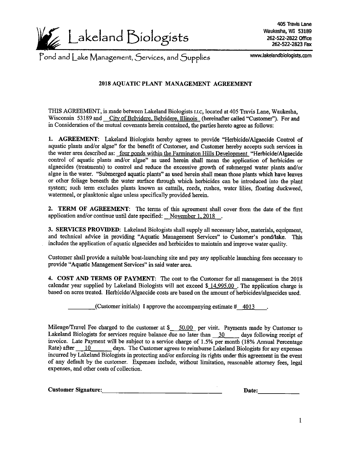

405 Travis Lane Waukesha, WI 53189  $logitsts$  262-522-2822 Office 262-522-2823 Fax

Pond and Lake Management, Services, and Supplies www.lakelandbiologists. com

#### 2018 AQUATIC PLANT MANAGEMENT AGREEMENT

THIS AGREEMENT, is made between Lakeland Biologists LLc, located at 405 Travis Lane, Waukesha, Wisconsin 53189 and City of Belvidere, Belvidere, Illinois (hereinafter called "Customer"). For and in Consideration of the mutual covenants herein contained, the parties hereto agree as follows:

1. AGREEMENT: Lakeland Biologists hereby agrees to provide "Herbicide/Algaecide Control of aquatic plants and/or algae" for the benefit of Customer, and Customer hereby accepts such services in the water area described as: four ponds within the Farmington Hills Development " Herbicide/Algaecide control of aquatic plants and/or algae" as used herein shall mean the application of herbicides or algaecides (treatments) to control and reduce the excessive growth of submerged water plants and/or algae in the water. " Submerged aquatic plants" as used herein shall mean those plants which have leaves or other foliage beneath the water surface through which herbicides can be introduced into the plant system; such term excludes plants known as cattails, reeds, rushes, water lilies, floating duckweed, watermeal, or planktonic algae unless specifically provided herein.

2. TERM OF AGREEMENT: The terms of this agreement shall cover from the date of the first application and/or continue until date specified: November  $1,2018$ .

3. SERVICES PROVIDED: Lakeland Biologists shall supply all necessary labor, materials, equipment, and technical advice in providing "Aquatic Management Services" to Customer's pond/lake. This includes the application of aquatic algaecides and herbicides to maintain and improve water quality.

Customer shall provide a suitable boat-launching site and pay any applicable launching fees necessary to provide" Aquatic Management Services" in said water area.

4. COST AND TERMS OF PAYMENT: The cost to the Customer for all management in the 2018 calendar year supplied by Lakeland Biologists will not exceed  $$14,995.00$ . The application charge is based on acres treated. Herbicide/Algaecide costs are based on the amount of herbicides/algaecides used.

(Customer initials) I approve the accompanying estimate  $\#$  4013

Mileage/Travel Fee charged to the customer at  $\frac{$50.00}{$}$  per visit. Payments made by Customer to Lakeland Biologists for services require balance due no later than 30 days following receipt of invoice. Late Payment will be subject to a service charge of 1.5% per month (18% Annual Percentage Rate) after 10 days. The Customer agrees to reimburse Lakeland Biologists for any expenses days. The Customer agrees to reimburse Lakeland Biologists for any expenses incurred by Lakeland Biologists in protecting and/or enforcing its rights under this agreement in the event of any default by the customer. Expenses include, without limitation, reasonable attorney fees, legal expenses, and other costs of collection.

| <b>Customer Signature:</b> |       |
|----------------------------|-------|
|                            | Date: |
|                            |       |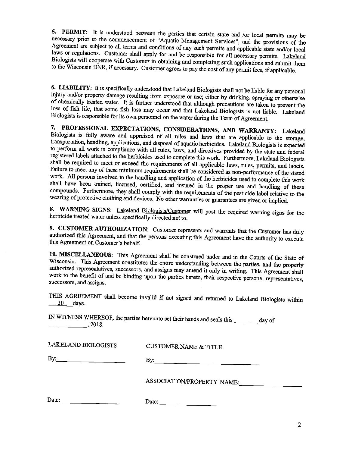$\frac{1}{2}$ . PERMIT:  $\frac{1}{2}$  is understood between the parties that certain state and /or local permits may be necessary prior to the commencement of "Aquatic Management Services", and the provisions of the Agreement are subject to all terms and conditions of any such permits and applicable state and/or local laws or regulations. Customer shall apply for and be responsible for all necessary permits. Lakeland Biologists will cooperate with Customer in obtaining and completing such applications and submit them to the Wisconsin DNR, if necessary. Customer agrees to pay the cost of any permit fees, if applicable.

<sup>6.</sup> Exception 1. It is specifically understood that Lakeland Biologists shall not be liable for any personal<br>injury and/or property domage resulting frames  $\frac{1}{2}$  or  $\frac{1}{2}$  contains the sulting from exposure or use; either by drinking, spraying or otherwise of chemically treated water. It is further understood that although precautions are taken to prevent the loss of fish life, that some fish loss may occur and that Lakeland Biologists is not liable. Lakeland Biologists is responsible for its own personnel on the water during the Term of Agreement.

7. PROFESSIONAL EXPECTATIONS, CONSIDERATIONS, AND WARRANTY: Lakeland Biologists is fully aware and appraised of all rules and laws that are applicable to the storage, transportation, handling, applications, and disposal of aquatic herbicides. Lakeland Biologists is expected to perform all work in compliance with all rules, laws, and directives provided by the state and federal registered labels attached to the herbicides used to complete this work. Furthermore, Lakeland Biologists shall be required to meet or exceed the requirements of all applicable laws, rules, permits, and labels. Failure to meet any of these minimum requirements shall be considered as non-performance of the stated work. All persons involved in the handling and application of the herbicides used to complete this work shall have been trained, licensed, certified, and insured in the proper use and handling of these shall have been trained, incursed, certified, and insured in the proper use and handling of these compounds. Furthermore, they shall comply with the requirements of the pesticide label relative to the wearing of protective clothing and devices. No other warranties or guarantees are given or implied.

8. WARNING SIGNS: Lakeland Biologists/Customer will post the required warning signs for the herbicide treated water unless specifically directed not to.

authorized this Agreement and that the Customer represents and warrants that the Customer has duly this Agreement on Customer's behalf.

10. MISCELLANEOUS: This Agreement shall be construed under and in the Courts of the State of Wisconsin. This Agreement constitutes the entire understanding between the parties, and the properly authorized representatives constitutes the entire understanding between the parties, and the properly authorized representatives, successors, and assigns may amend it only in writing. This Agreement shall work to the benefit of and be binding upon the parties hereto, their respective personal representatives, successors, and assigns.

THIS AGREEMENT shall become invalid if not signed and returned to Lakeland Biologists within 30 days.

IN WITNESS WHEREOF, the parties hereunto set their hands and seals this \_\_\_\_\_\_\_ day of  $\sim$ , 2018.

CUSTOMER NAME & TITLE

 $\mathsf{By:}$  By:

ASSOCIATION/PROPERTY NAME:

| Date: | Date. |
|-------|-------|
|       |       |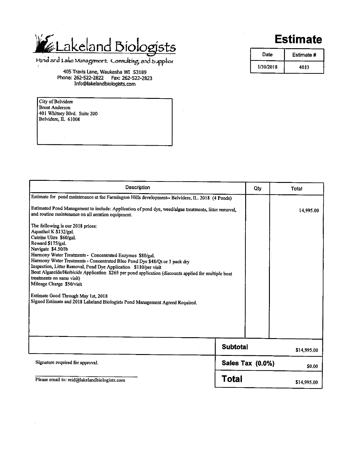### Lakeland Biologists

Hond and Lake Management, Consulting, and Supplies

405 Travis Lane, Waukesha WI 53189 Phone: 262-522-2822 Fax: 262-522-2823 Info@lakelandbiologists.com

City of Belvidere Brent Anderson 401 Whitney Blvd. Suite 200 Belvidere, IL 61008

### Estimate

| Date      | Estimate # |
|-----------|------------|
| 1/30/2018 | 4013       |

| Description                                                                                                                                                                                                                                                                                                                                                                                                                                                                                                                                                                                                                                                                                                                                                                                                                                                                                                    | Oty                     | Total       |
|----------------------------------------------------------------------------------------------------------------------------------------------------------------------------------------------------------------------------------------------------------------------------------------------------------------------------------------------------------------------------------------------------------------------------------------------------------------------------------------------------------------------------------------------------------------------------------------------------------------------------------------------------------------------------------------------------------------------------------------------------------------------------------------------------------------------------------------------------------------------------------------------------------------|-------------------------|-------------|
| Estimate for pond maintenance at the Farmington Hills development-- Belvidere, IL. 2018 (4 Ponds)<br>Estimated Pond Management to include: Application of pond dye, weed/algae treatments, litter removal,<br>and routine maintenance on all aeration equipment.<br>The following is our 2018 prices:<br>Aquathol K \$132/gal.<br>Cutrine Ultra \$60/gal.<br>Reward \$175/gal.<br>Navigate \$4.50/lb<br>Harmony Water Treatments - Concentrated Enzymes \$80/gal.<br>Harmony Water Treatments - Concentrated Blue Pond Dye \$48/Qt or 3 pack dry<br>Inspection, Litter Removal, Pond Dye Application \$110/per visit<br>Boat Algaecide/Herbicide Application \$265 per pond application (discounts applied for multiple boat<br>treatments on same visit)<br>Mileage Charge \$50/visit<br>Estimate Good Through May 1st, 2018<br>Signed Estimate and 2018 Lakeland Biologists Pond Management Agreed Required. |                         | 14,995.00   |
|                                                                                                                                                                                                                                                                                                                                                                                                                                                                                                                                                                                                                                                                                                                                                                                                                                                                                                                | <b>Subtotal</b>         | \$14,995.00 |
| Signature required for approval.                                                                                                                                                                                                                                                                                                                                                                                                                                                                                                                                                                                                                                                                                                                                                                                                                                                                               | <b>Sales Tax (0.0%)</b> | \$0.00      |
| Please email to: reid@lakelandbiologists.com                                                                                                                                                                                                                                                                                                                                                                                                                                                                                                                                                                                                                                                                                                                                                                                                                                                                   | Total                   | \$14,995.00 |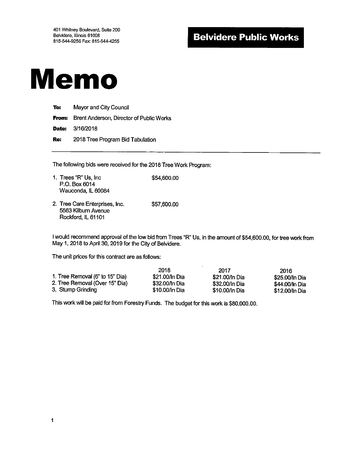### Belvidere Public Works

### Memo

**To:** Mayor and City Council From: Brent Anderson, Director of Public Works Date: 3/16/2018 Re: 2018 Tree Program Bid Tabulation

The following bids were received for the 2018 Tree Work Program:

- 1. Trees "R" Us, Inc  $$54,600.00$ P.O. Box 6014 Wauconda, IL 60084
- 2. Tree Care Enterprises, Inc. \$57,600.00 5563 Kilburn Avenue Rockford, IL 61101

I would recommend approval of the low bid from Trees "R" Us, in the amount of \$54,600.00, for tree work from May 1, 2018 to April 30, 2019 for the City of Belvidere.

The unit prices for this contract are as follows:

| 1. Tree Removal (6" to 15" Dia) | 2018<br>\$21,00/In Dia | 2017<br>\$21.00/In Dia | 2016<br>\$25.00/In Dia |
|---------------------------------|------------------------|------------------------|------------------------|
| 2. Tree Removal (Over 15" Dia)  | \$32.00/ln Dia         | \$32.00/ln Dia         | \$44.00/In Dia         |
| 3. Stump Grinding               | \$10,00/In Dia         | \$10.00/In Dia         | \$12.00/In Dia         |

This work will be paid for from Forestry Funds. The budget for this work is \$80,000.00.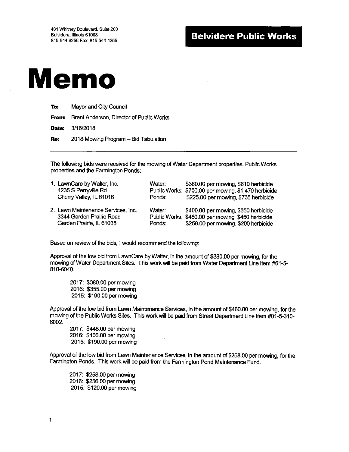

To: Mayor and City Council From: Brent Anderson, Director of Public Works **Date:** 3/16/2018 Re: 2018 Mowing Program – Bid Tabulation

The following bids were received for the mowing of Water Department properties, Public Works properties and the Farmington Ponds:

| 1. LawnCare by Walter, Inc.<br>4235 S Perryville Rd<br>Cherry Valley, IL 61016             | Water:<br>Ponds: | \$380.00 per mowing, \$610 herbicide<br>Public Works: \$700.00 per mowing, \$1,470 herbicide<br>\$225.00 per mowing, \$735 herbicide |
|--------------------------------------------------------------------------------------------|------------------|--------------------------------------------------------------------------------------------------------------------------------------|
| 2. Lawn Maintenance Services, Inc.<br>3344 Garden Prairie Road<br>Garden Prairie, IL 61038 | Water:<br>Ponds: | \$400.00 per mowing, \$350 herbicide<br>Public Works: \$460.00 per mowing, \$450 herbicide<br>\$258.00 per mowing, \$200 herbicide   |

Based on review of the bids, I would recommend the following:

Approval of the low bid from LawnCare by Walter, in the amount of \$380.00 per mowing, for the mowing of Water Department Sites. This work will be paid from Water Department Line Item #61-5-810-6040.

2017: \$380.00 per mowing 2016: \$355.00 per mowing 2015: \$190.00 per mowing

Approval of the low bid from Lawn Maintenance Services, in the amount of \$460.00 per mowing, for the mowing of the Public Works Sites. This work will be paid from Street Department Line Item #01-5-310-6002.

2017: \$448.00 per mowing 2016: \$400.00 per mowing 2015: \$190.00 per mowing

Approval of the low bid from Lawn Maintenance Services, in the amount of \$258.00 per mowing, for the Farmington Ponds. This work will be paid from the Farmington Pond Maintenance Fund.

2017: \$258.00 per mowing 2016: \$256.00 per mowing 2015: \$ 120.00 per mowing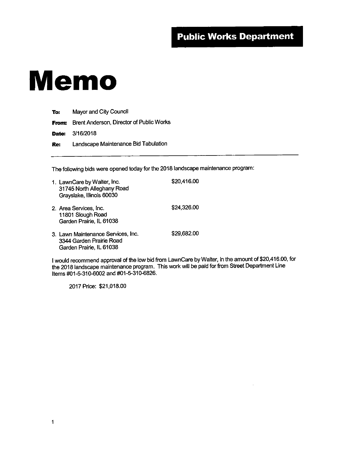## Memo

| To: | Mayor and City Council                         |  |
|-----|------------------------------------------------|--|
|     | From: Brent Anderson, Director of Public Works |  |
|     | <b>Date: 3/16/2018</b>                         |  |
| Re: | Landscape Maintenance Bid Tabulation           |  |

The following bids were opened today for the 2018 landscape maintenance program:

| 1. LawnCare by Walter, Inc.<br>31745 North Alleghany Road<br>Grayslake, Illinois 60030     | \$20,416.00 |
|--------------------------------------------------------------------------------------------|-------------|
| 2. Area Services, Inc.<br>11801 Slough Road<br>Garden Prairie, IL 61038                    | \$24,326.00 |
| 3. Lawn Maintenance Services, Inc.<br>3344 Garden Prairie Road<br>Garden Prairie, IL 61038 | \$29,682.00 |

I would recommend approval of the low bid from LawnCare by Walter, in the amount of \$20,416.00, for the 2018 landscape maintenance program. This work will be paid for from Street Department Line Items #01-5-310-6002 and #01-5-310-6826.

2017 Price: \$21,018.00